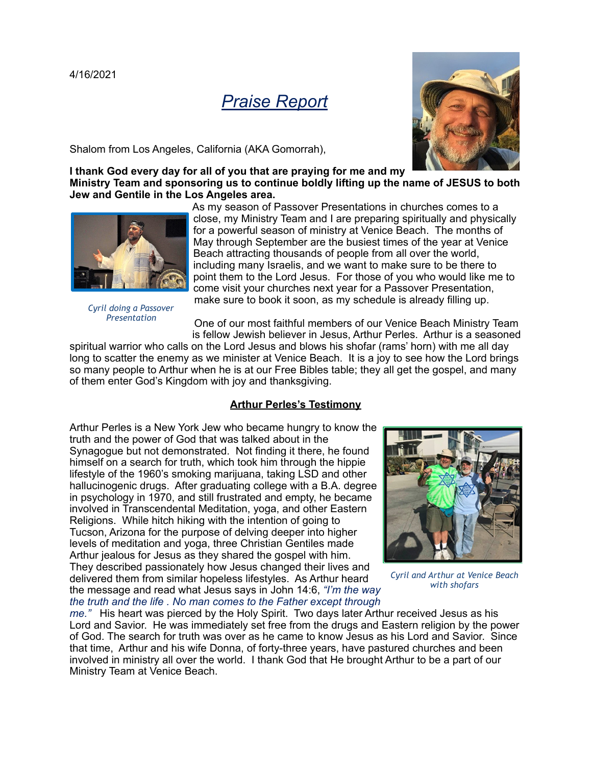

Shalom from Los Angeles, California (AKA Gomorrah),



**I thank God every day for all of you that are praying for me and my Ministry Team and sponsoring us to continue boldly lifting up the name of JESUS to both Jew and Gentile in the Los Angeles area.**



*Cyril doing a Passover Presentation*

As my season of Passover Presentations in churches comes to a close, my Ministry Team and I are preparing spiritually and physically for a powerful season of ministry at Venice Beach. The months of May through September are the busiest times of the year at Venice Beach attracting thousands of people from all over the world, including many Israelis, and we want to make sure to be there to point them to the Lord Jesus. For those of you who would like me to come visit your churches next year for a Passover Presentation, make sure to book it soon, as my schedule is already filling up.

One of our most faithful members of our Venice Beach Ministry Team is fellow Jewish believer in Jesus, Arthur Perles. Arthur is a seasoned

spiritual warrior who calls on the Lord Jesus and blows his shofar (rams' horn) with me all day long to scatter the enemy as we minister at Venice Beach. It is a joy to see how the Lord brings so many people to Arthur when he is at our Free Bibles table; they all get the gospel, and many of them enter God's Kingdom with joy and thanksgiving.

## **Arthur Perles's Testimony**

Arthur Perles is a New York Jew who became hungry to know the truth and the power of God that was talked about in the Synagogue but not demonstrated. Not finding it there, he found himself on a search for truth, which took him through the hippie lifestyle of the 1960's smoking marijuana, taking LSD and other hallucinogenic drugs. After graduating college with a B.A. degree in psychology in 1970, and still frustrated and empty, he became involved in Transcendental Meditation, yoga, and other Eastern Religions. While hitch hiking with the intention of going to Tucson, Arizona for the purpose of delving deeper into higher levels of meditation and yoga, three Christian Gentiles made Arthur jealous for Jesus as they shared the gospel with him. They described passionately how Jesus changed their lives and delivered them from similar hopeless lifestyles. As Arthur heard the message and read what Jesus says in John 14:6, *"I'm the way the truth and the life . No man comes to the Father except through* 



*Cyril and Arthur at Venice Beach with shofars*

*me."* His heart was pierced by the Holy Spirit. Two days later Arthur received Jesus as his Lord and Savior. He was immediately set free from the drugs and Eastern religion by the power of God. The search for truth was over as he came to know Jesus as his Lord and Savior. Since that time, Arthur and his wife Donna, of forty-three years, have pastured churches and been involved in ministry all over the world. I thank God that He brought Arthur to be a part of our Ministry Team at Venice Beach.